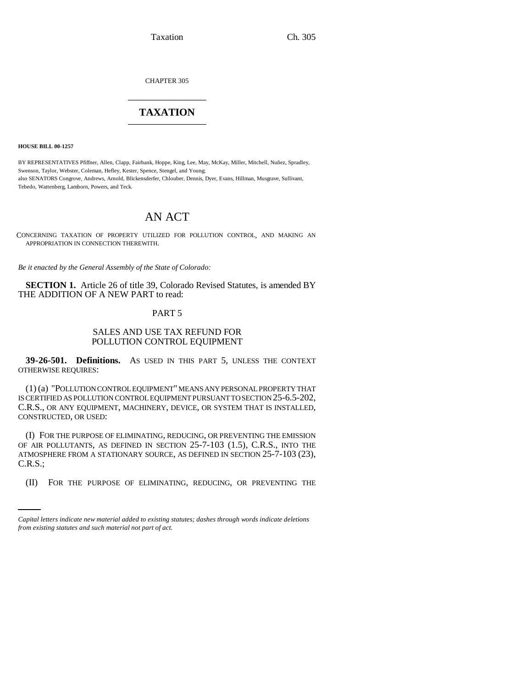Taxation Ch. 305

CHAPTER 305 \_\_\_\_\_\_\_\_\_\_\_\_\_\_\_

# **TAXATION** \_\_\_\_\_\_\_\_\_\_\_\_\_\_\_

**HOUSE BILL 00-1257** 

BY REPRESENTATIVES Pfiffner, Allen, Clapp, Fairbank, Hoppe, King, Lee, May, McKay, Miller, Mitchell, Nuñez, Spradley, Swenson, Taylor, Webster, Coleman, Hefley, Kester, Spence, Stengel, and Young; also SENATORS Congrove, Andrews, Arnold, Blickensderfer, Chlouber, Dennis, Dyer, Evans, Hillman, Musgrave, Sullivant, Tebedo, Wattenberg, Lamborn, Powers, and Teck.

# AN ACT

CONCERNING TAXATION OF PROPERTY UTILIZED FOR POLLUTION CONTROL, AND MAKING AN APPROPRIATION IN CONNECTION THEREWITH.

*Be it enacted by the General Assembly of the State of Colorado:*

**SECTION 1.** Article 26 of title 39, Colorado Revised Statutes, is amended BY THE ADDITION OF A NEW PART to read:

#### PART 5

### SALES AND USE TAX REFUND FOR POLLUTION CONTROL EQUIPMENT

**39-26-501. Definitions.** AS USED IN THIS PART 5, UNLESS THE CONTEXT OTHERWISE REQUIRES:

(1) (a) "POLLUTION CONTROL EQUIPMENT" MEANS ANY PERSONAL PROPERTY THAT IS CERTIFIED AS POLLUTION CONTROL EQUIPMENT PURSUANT TO SECTION 25-6.5-202, C.R.S., OR ANY EQUIPMENT, MACHINERY, DEVICE, OR SYSTEM THAT IS INSTALLED, CONSTRUCTED, OR USED:

C.R.S.; (I) FOR THE PURPOSE OF ELIMINATING, REDUCING, OR PREVENTING THE EMISSION OF AIR POLLUTANTS, AS DEFINED IN SECTION 25-7-103 (1.5), C.R.S., INTO THE ATMOSPHERE FROM A STATIONARY SOURCE, AS DEFINED IN SECTION 25-7-103 (23),

(II) FOR THE PURPOSE OF ELIMINATING, REDUCING, OR PREVENTING THE

*Capital letters indicate new material added to existing statutes; dashes through words indicate deletions from existing statutes and such material not part of act.*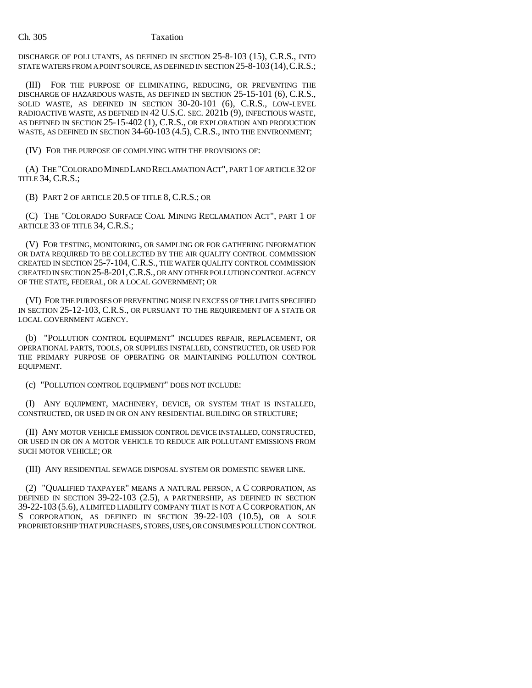#### Ch. 305 Taxation

DISCHARGE OF POLLUTANTS, AS DEFINED IN SECTION 25-8-103 (15), C.R.S., INTO STATE WATERS FROM A POINT SOURCE, AS DEFINED IN SECTION 25-8-103(14),C.R.S.;

(III) FOR THE PURPOSE OF ELIMINATING, REDUCING, OR PREVENTING THE DISCHARGE OF HAZARDOUS WASTE, AS DEFINED IN SECTION 25-15-101 (6), C.R.S., SOLID WASTE, AS DEFINED IN SECTION 30-20-101 (6), C.R.S., LOW-LEVEL RADIOACTIVE WASTE, AS DEFINED IN 42 U.S.C. SEC. 2021b (9), INFECTIOUS WASTE, AS DEFINED IN SECTION 25-15-402 (1), C.R.S., OR EXPLORATION AND PRODUCTION WASTE, AS DEFINED IN SECTION 34-60-103 (4.5), C.R.S., INTO THE ENVIRONMENT;

(IV) FOR THE PURPOSE OF COMPLYING WITH THE PROVISIONS OF:

(A) THE "COLORADO MINED LAND RECLAMATION ACT", PART 1 OF ARTICLE 32 OF TITLE 34, C.R.S.;

(B) PART 2 OF ARTICLE 20.5 OF TITLE 8, C.R.S.; OR

(C) THE "COLORADO SURFACE COAL MINING RECLAMATION ACT", PART 1 OF ARTICLE 33 OF TITLE 34, C.R.S.;

(V) FOR TESTING, MONITORING, OR SAMPLING OR FOR GATHERING INFORMATION OR DATA REQUIRED TO BE COLLECTED BY THE AIR QUALITY CONTROL COMMISSION CREATED IN SECTION 25-7-104, C.R.S., THE WATER QUALITY CONTROL COMMISSION CREATED IN SECTION 25-8-201,C.R.S., OR ANY OTHER POLLUTION CONTROL AGENCY OF THE STATE, FEDERAL, OR A LOCAL GOVERNMENT; OR

(VI) FOR THE PURPOSES OF PREVENTING NOISE IN EXCESS OF THE LIMITS SPECIFIED IN SECTION 25-12-103, C.R.S., OR PURSUANT TO THE REQUIREMENT OF A STATE OR LOCAL GOVERNMENT AGENCY.

(b) "POLLUTION CONTROL EQUIPMENT" INCLUDES REPAIR, REPLACEMENT, OR OPERATIONAL PARTS, TOOLS, OR SUPPLIES INSTALLED, CONSTRUCTED, OR USED FOR THE PRIMARY PURPOSE OF OPERATING OR MAINTAINING POLLUTION CONTROL EQUIPMENT.

(c) "POLLUTION CONTROL EQUIPMENT" DOES NOT INCLUDE:

(I) ANY EQUIPMENT, MACHINERY, DEVICE, OR SYSTEM THAT IS INSTALLED, CONSTRUCTED, OR USED IN OR ON ANY RESIDENTIAL BUILDING OR STRUCTURE;

(II) ANY MOTOR VEHICLE EMISSION CONTROL DEVICE INSTALLED, CONSTRUCTED, OR USED IN OR ON A MOTOR VEHICLE TO REDUCE AIR POLLUTANT EMISSIONS FROM SUCH MOTOR VEHICLE; OR

(III) ANY RESIDENTIAL SEWAGE DISPOSAL SYSTEM OR DOMESTIC SEWER LINE.

(2) "QUALIFIED TAXPAYER" MEANS A NATURAL PERSON, A C CORPORATION, AS DEFINED IN SECTION 39-22-103 (2.5), A PARTNERSHIP, AS DEFINED IN SECTION 39-22-103 (5.6), A LIMITED LIABILITY COMPANY THAT IS NOT A C CORPORATION, AN S CORPORATION, AS DEFINED IN SECTION 39-22-103 (10.5), OR A SOLE PROPRIETORSHIP THAT PURCHASES, STORES, USES, OR CONSUMES POLLUTION CONTROL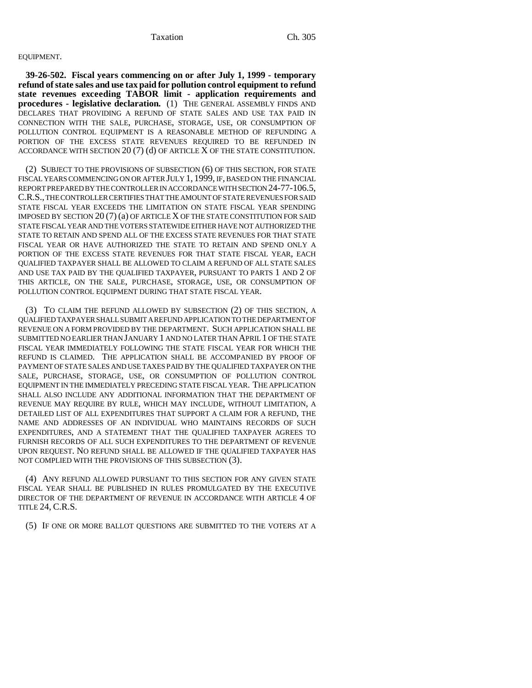# EQUIPMENT.

**39-26-502. Fiscal years commencing on or after July 1, 1999 - temporary refund of state sales and use tax paid for pollution control equipment to refund state revenues exceeding TABOR limit - application requirements and procedures - legislative declaration.** (1) THE GENERAL ASSEMBLY FINDS AND DECLARES THAT PROVIDING A REFUND OF STATE SALES AND USE TAX PAID IN CONNECTION WITH THE SALE, PURCHASE, STORAGE, USE, OR CONSUMPTION OF POLLUTION CONTROL EQUIPMENT IS A REASONABLE METHOD OF REFUNDING A PORTION OF THE EXCESS STATE REVENUES REQUIRED TO BE REFUNDED IN ACCORDANCE WITH SECTION 20 (7) (d) OF ARTICLE X OF THE STATE CONSTITUTION.

(2) SUBJECT TO THE PROVISIONS OF SUBSECTION (6) OF THIS SECTION, FOR STATE FISCAL YEARS COMMENCING ON OR AFTER JULY 1, 1999, IF, BASED ON THE FINANCIAL REPORT PREPARED BY THE CONTROLLER IN ACCORDANCE WITH SECTION 24-77-106.5, C.R.S., THE CONTROLLER CERTIFIES THAT THE AMOUNT OF STATE REVENUES FOR SAID STATE FISCAL YEAR EXCEEDS THE LIMITATION ON STATE FISCAL YEAR SPENDING IMPOSED BY SECTION 20 (7) (a) OF ARTICLE X OF THE STATE CONSTITUTION FOR SAID STATE FISCAL YEAR AND THE VOTERS STATEWIDE EITHER HAVE NOT AUTHORIZED THE STATE TO RETAIN AND SPEND ALL OF THE EXCESS STATE REVENUES FOR THAT STATE FISCAL YEAR OR HAVE AUTHORIZED THE STATE TO RETAIN AND SPEND ONLY A PORTION OF THE EXCESS STATE REVENUES FOR THAT STATE FISCAL YEAR, EACH QUALIFIED TAXPAYER SHALL BE ALLOWED TO CLAIM A REFUND OF ALL STATE SALES AND USE TAX PAID BY THE QUALIFIED TAXPAYER, PURSUANT TO PARTS 1 AND 2 OF THIS ARTICLE, ON THE SALE, PURCHASE, STORAGE, USE, OR CONSUMPTION OF POLLUTION CONTROL EQUIPMENT DURING THAT STATE FISCAL YEAR.

(3) TO CLAIM THE REFUND ALLOWED BY SUBSECTION (2) OF THIS SECTION, A QUALIFIED TAXPAYER SHALL SUBMIT A REFUND APPLICATION TO THE DEPARTMENT OF REVENUE ON A FORM PROVIDED BY THE DEPARTMENT. SUCH APPLICATION SHALL BE SUBMITTED NO EARLIER THAN JANUARY 1 AND NO LATER THAN APRIL 1 OF THE STATE FISCAL YEAR IMMEDIATELY FOLLOWING THE STATE FISCAL YEAR FOR WHICH THE REFUND IS CLAIMED. THE APPLICATION SHALL BE ACCOMPANIED BY PROOF OF PAYMENT OF STATE SALES AND USE TAXES PAID BY THE QUALIFIED TAXPAYER ON THE SALE, PURCHASE, STORAGE, USE, OR CONSUMPTION OF POLLUTION CONTROL EQUIPMENT IN THE IMMEDIATELY PRECEDING STATE FISCAL YEAR. THE APPLICATION SHALL ALSO INCLUDE ANY ADDITIONAL INFORMATION THAT THE DEPARTMENT OF REVENUE MAY REQUIRE BY RULE, WHICH MAY INCLUDE, WITHOUT LIMITATION, A DETAILED LIST OF ALL EXPENDITURES THAT SUPPORT A CLAIM FOR A REFUND, THE NAME AND ADDRESSES OF AN INDIVIDUAL WHO MAINTAINS RECORDS OF SUCH EXPENDITURES, AND A STATEMENT THAT THE QUALIFIED TAXPAYER AGREES TO FURNISH RECORDS OF ALL SUCH EXPENDITURES TO THE DEPARTMENT OF REVENUE UPON REQUEST. NO REFUND SHALL BE ALLOWED IF THE QUALIFIED TAXPAYER HAS NOT COMPLIED WITH THE PROVISIONS OF THIS SUBSECTION (3).

(4) ANY REFUND ALLOWED PURSUANT TO THIS SECTION FOR ANY GIVEN STATE FISCAL YEAR SHALL BE PUBLISHED IN RULES PROMULGATED BY THE EXECUTIVE DIRECTOR OF THE DEPARTMENT OF REVENUE IN ACCORDANCE WITH ARTICLE 4 OF TITLE 24, C.R.S.

(5) IF ONE OR MORE BALLOT QUESTIONS ARE SUBMITTED TO THE VOTERS AT A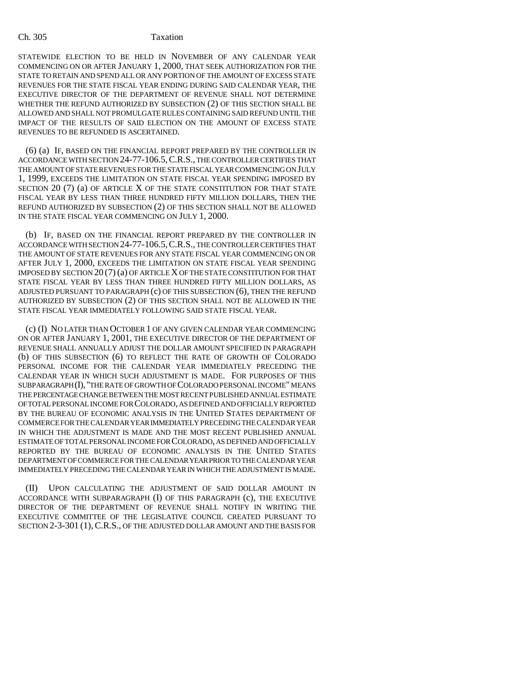STATEWIDE ELECTION TO BE HELD IN NOVEMBER OF ANY CALENDAR YEAR COMMENCING ON OR AFTER JANUARY 1, 2000, THAT SEEK AUTHORIZATION FOR THE STATE TO RETAIN AND SPEND ALL OR ANY PORTION OF THE AMOUNT OF EXCESS STATE REVENUES FOR THE STATE FISCAL YEAR ENDING DURING SAID CALENDAR YEAR, THE EXECUTIVE DIRECTOR OF THE DEPARTMENT OF REVENUE SHALL NOT DETERMINE WHETHER THE REFUND AUTHORIZED BY SUBSECTION (2) OF THIS SECTION SHALL BE ALLOWED AND SHALL NOT PROMULGATE RULES CONTAINING SAID REFUND UNTIL THE IMPACT OF THE RESULTS OF SAID ELECTION ON THE AMOUNT OF EXCESS STATE REVENUES TO BE REFUNDED IS ASCERTAINED.

(6) (a) IF, BASED ON THE FINANCIAL REPORT PREPARED BY THE CONTROLLER IN ACCORDANCE WITH SECTION 24-77-106.5,C.R.S., THE CONTROLLER CERTIFIES THAT THE AMOUNT OF STATE REVENUES FOR THE STATE FISCAL YEAR COMMENCING ON JULY 1, 1999, EXCEEDS THE LIMITATION ON STATE FISCAL YEAR SPENDING IMPOSED BY SECTION 20 (7) (a) OF ARTICLE X OF THE STATE CONSTITUTION FOR THAT STATE FISCAL YEAR BY LESS THAN THREE HUNDRED FIFTY MILLION DOLLARS, THEN THE REFUND AUTHORIZED BY SUBSECTION (2) OF THIS SECTION SHALL NOT BE ALLOWED IN THE STATE FISCAL YEAR COMMENCING ON JULY 1, 2000.

(b) IF, BASED ON THE FINANCIAL REPORT PREPARED BY THE CONTROLLER IN ACCORDANCE WITH SECTION 24-77-106.5,C.R.S., THE CONTROLLER CERTIFIES THAT THE AMOUNT OF STATE REVENUES FOR ANY STATE FISCAL YEAR COMMENCING ON OR AFTER JULY 1, 2000, EXCEEDS THE LIMITATION ON STATE FISCAL YEAR SPENDING IMPOSED BY SECTION 20 (7) (a) OF ARTICLE X OF THE STATE CONSTITUTION FOR THAT STATE FISCAL YEAR BY LESS THAN THREE HUNDRED FIFTY MILLION DOLLARS, AS ADJUSTED PURSUANT TO PARAGRAPH (c) OF THIS SUBSECTION (6), THEN THE REFUND AUTHORIZED BY SUBSECTION (2) OF THIS SECTION SHALL NOT BE ALLOWED IN THE STATE FISCAL YEAR IMMEDIATELY FOLLOWING SAID STATE FISCAL YEAR.

(c) (I) NO LATER THAN OCTOBER 1 OF ANY GIVEN CALENDAR YEAR COMMENCING ON OR AFTER JANUARY 1, 2001, THE EXECUTIVE DIRECTOR OF THE DEPARTMENT OF REVENUE SHALL ANNUALLY ADJUST THE DOLLAR AMOUNT SPECIFIED IN PARAGRAPH (b) OF THIS SUBSECTION (6) TO REFLECT THE RATE OF GROWTH OF COLORADO PERSONAL INCOME FOR THE CALENDAR YEAR IMMEDIATELY PRECEDING THE CALENDAR YEAR IN WHICH SUCH ADJUSTMENT IS MADE. FOR PURPOSES OF THIS SUBPARAGRAPH (I),"THE RATE OF GROWTH OF COLORADO PERSONAL INCOME" MEANS THE PERCENTAGE CHANGE BETWEEN THE MOST RECENT PUBLISHED ANNUAL ESTIMATE OF TOTAL PERSONAL INCOME FOR COLORADO, AS DEFINED AND OFFICIALLY REPORTED BY THE BUREAU OF ECONOMIC ANALYSIS IN THE UNITED STATES DEPARTMENT OF COMMERCE FOR THE CALENDAR YEAR IMMEDIATELY PRECEDING THE CALENDAR YEAR IN WHICH THE ADJUSTMENT IS MADE AND THE MOST RECENT PUBLISHED ANNUAL ESTIMATE OF TOTAL PERSONAL INCOME FOR COLORADO, AS DEFINED AND OFFICIALLY REPORTED BY THE BUREAU OF ECONOMIC ANALYSIS IN THE UNITED STATES DEPARTMENT OF COMMERCE FOR THE CALENDAR YEAR PRIOR TO THE CALENDAR YEAR IMMEDIATELY PRECEDING THE CALENDAR YEAR IN WHICH THE ADJUSTMENT IS MADE.

UPON CALCULATING THE ADJUSTMENT OF SAID DOLLAR AMOUNT IN ACCORDANCE WITH SUBPARAGRAPH (I) OF THIS PARAGRAPH (c), THE EXECUTIVE DIRECTOR OF THE DEPARTMENT OF REVENUE SHALL NOTIFY IN WRITING THE EXECUTIVE COMMITTEE OF THE LEGISLATIVE COUNCIL CREATED PURSUANT TO SECTION 2-3-301 (1),C.R.S., OF THE ADJUSTED DOLLAR AMOUNT AND THE BASIS FOR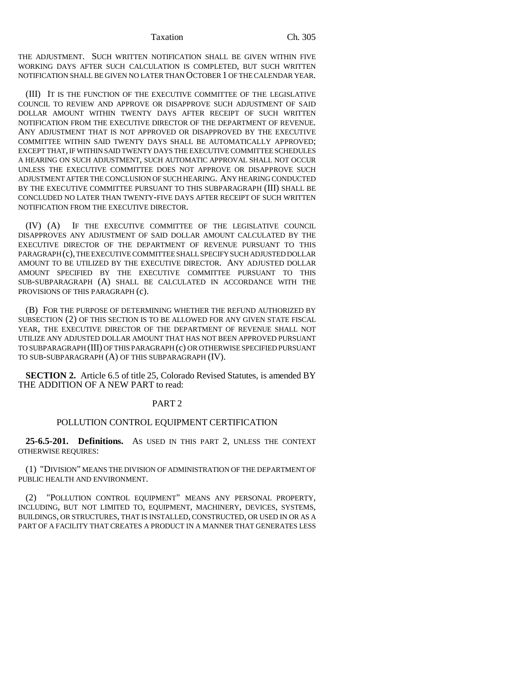Taxation Ch. 305

THE ADJUSTMENT. SUCH WRITTEN NOTIFICATION SHALL BE GIVEN WITHIN FIVE WORKING DAYS AFTER SUCH CALCULATION IS COMPLETED, BUT SUCH WRITTEN NOTIFICATION SHALL BE GIVEN NO LATER THAN OCTOBER 1 OF THE CALENDAR YEAR.

(III) IT IS THE FUNCTION OF THE EXECUTIVE COMMITTEE OF THE LEGISLATIVE COUNCIL TO REVIEW AND APPROVE OR DISAPPROVE SUCH ADJUSTMENT OF SAID DOLLAR AMOUNT WITHIN TWENTY DAYS AFTER RECEIPT OF SUCH WRITTEN NOTIFICATION FROM THE EXECUTIVE DIRECTOR OF THE DEPARTMENT OF REVENUE. ANY ADJUSTMENT THAT IS NOT APPROVED OR DISAPPROVED BY THE EXECUTIVE COMMITTEE WITHIN SAID TWENTY DAYS SHALL BE AUTOMATICALLY APPROVED; EXCEPT THAT, IF WITHIN SAID TWENTY DAYS THE EXECUTIVE COMMITTEE SCHEDULES A HEARING ON SUCH ADJUSTMENT, SUCH AUTOMATIC APPROVAL SHALL NOT OCCUR UNLESS THE EXECUTIVE COMMITTEE DOES NOT APPROVE OR DISAPPROVE SUCH ADJUSTMENT AFTER THE CONCLUSION OF SUCH HEARING. ANY HEARING CONDUCTED BY THE EXECUTIVE COMMITTEE PURSUANT TO THIS SUBPARAGRAPH (III) SHALL BE CONCLUDED NO LATER THAN TWENTY-FIVE DAYS AFTER RECEIPT OF SUCH WRITTEN NOTIFICATION FROM THE EXECUTIVE DIRECTOR.

(IV) (A) IF THE EXECUTIVE COMMITTEE OF THE LEGISLATIVE COUNCIL DISAPPROVES ANY ADJUSTMENT OF SAID DOLLAR AMOUNT CALCULATED BY THE EXECUTIVE DIRECTOR OF THE DEPARTMENT OF REVENUE PURSUANT TO THIS PARAGRAPH (c), THE EXECUTIVE COMMITTEE SHALL SPECIFY SUCH ADJUSTED DOLLAR AMOUNT TO BE UTILIZED BY THE EXECUTIVE DIRECTOR. ANY ADJUSTED DOLLAR AMOUNT SPECIFIED BY THE EXECUTIVE COMMITTEE PURSUANT TO THIS SUB-SUBPARAGRAPH (A) SHALL BE CALCULATED IN ACCORDANCE WITH THE PROVISIONS OF THIS PARAGRAPH (c).

(B) FOR THE PURPOSE OF DETERMINING WHETHER THE REFUND AUTHORIZED BY SUBSECTION (2) OF THIS SECTION IS TO BE ALLOWED FOR ANY GIVEN STATE FISCAL YEAR, THE EXECUTIVE DIRECTOR OF THE DEPARTMENT OF REVENUE SHALL NOT UTILIZE ANY ADJUSTED DOLLAR AMOUNT THAT HAS NOT BEEN APPROVED PURSUANT TO SUBPARAGRAPH (III) OF THIS PARAGRAPH (c) OR OTHERWISE SPECIFIED PURSUANT TO SUB-SUBPARAGRAPH (A) OF THIS SUBPARAGRAPH (IV).

**SECTION 2.** Article 6.5 of title 25, Colorado Revised Statutes, is amended BY THE ADDITION OF A NEW PART to read:

# PART 2

### POLLUTION CONTROL EQUIPMENT CERTIFICATION

**25-6.5-201. Definitions.** AS USED IN THIS PART 2, UNLESS THE CONTEXT OTHERWISE REQUIRES:

(1) "DIVISION" MEANS THE DIVISION OF ADMINISTRATION OF THE DEPARTMENT OF PUBLIC HEALTH AND ENVIRONMENT.

(2) "POLLUTION CONTROL EQUIPMENT" MEANS ANY PERSONAL PROPERTY, INCLUDING, BUT NOT LIMITED TO, EQUIPMENT, MACHINERY, DEVICES, SYSTEMS, BUILDINGS, OR STRUCTURES, THAT IS INSTALLED, CONSTRUCTED, OR USED IN OR AS A PART OF A FACILITY THAT CREATES A PRODUCT IN A MANNER THAT GENERATES LESS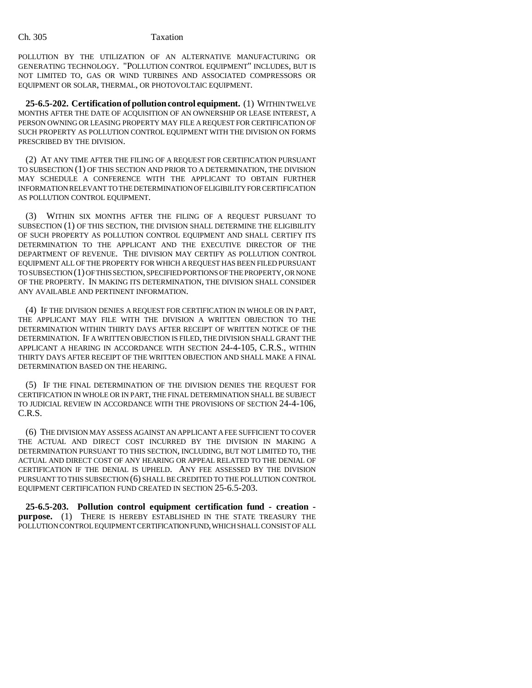POLLUTION BY THE UTILIZATION OF AN ALTERNATIVE MANUFACTURING OR GENERATING TECHNOLOGY. "POLLUTION CONTROL EQUIPMENT" INCLUDES, BUT IS NOT LIMITED TO, GAS OR WIND TURBINES AND ASSOCIATED COMPRESSORS OR EQUIPMENT OR SOLAR, THERMAL, OR PHOTOVOLTAIC EQUIPMENT.

**25-6.5-202. Certification of pollution control equipment.** (1) WITHIN TWELVE MONTHS AFTER THE DATE OF ACQUISITION OF AN OWNERSHIP OR LEASE INTEREST, A PERSON OWNING OR LEASING PROPERTY MAY FILE A REQUEST FOR CERTIFICATION OF SUCH PROPERTY AS POLLUTION CONTROL EQUIPMENT WITH THE DIVISION ON FORMS PRESCRIBED BY THE DIVISION.

(2) AT ANY TIME AFTER THE FILING OF A REQUEST FOR CERTIFICATION PURSUANT TO SUBSECTION (1) OF THIS SECTION AND PRIOR TO A DETERMINATION, THE DIVISION MAY SCHEDULE A CONFERENCE WITH THE APPLICANT TO OBTAIN FURTHER INFORMATION RELEVANT TO THE DETERMINATION OF ELIGIBILITY FOR CERTIFICATION AS POLLUTION CONTROL EQUIPMENT.

(3) WITHIN SIX MONTHS AFTER THE FILING OF A REQUEST PURSUANT TO SUBSECTION (1) OF THIS SECTION, THE DIVISION SHALL DETERMINE THE ELIGIBILITY OF SUCH PROPERTY AS POLLUTION CONTROL EQUIPMENT AND SHALL CERTIFY ITS DETERMINATION TO THE APPLICANT AND THE EXECUTIVE DIRECTOR OF THE DEPARTMENT OF REVENUE. THE DIVISION MAY CERTIFY AS POLLUTION CONTROL EQUIPMENT ALL OF THE PROPERTY FOR WHICH A REQUEST HAS BEEN FILED PURSUANT TO SUBSECTION (1) OF THIS SECTION, SPECIFIED PORTIONS OF THE PROPERTY, OR NONE OF THE PROPERTY. IN MAKING ITS DETERMINATION, THE DIVISION SHALL CONSIDER ANY AVAILABLE AND PERTINENT INFORMATION.

(4) IF THE DIVISION DENIES A REQUEST FOR CERTIFICATION IN WHOLE OR IN PART, THE APPLICANT MAY FILE WITH THE DIVISION A WRITTEN OBJECTION TO THE DETERMINATION WITHIN THIRTY DAYS AFTER RECEIPT OF WRITTEN NOTICE OF THE DETERMINATION. IF A WRITTEN OBJECTION IS FILED, THE DIVISION SHALL GRANT THE APPLICANT A HEARING IN ACCORDANCE WITH SECTION 24-4-105, C.R.S., WITHIN THIRTY DAYS AFTER RECEIPT OF THE WRITTEN OBJECTION AND SHALL MAKE A FINAL DETERMINATION BASED ON THE HEARING.

(5) IF THE FINAL DETERMINATION OF THE DIVISION DENIES THE REQUEST FOR CERTIFICATION IN WHOLE OR IN PART, THE FINAL DETERMINATION SHALL BE SUBJECT TO JUDICIAL REVIEW IN ACCORDANCE WITH THE PROVISIONS OF SECTION 24-4-106, C.R.S.

(6) THE DIVISION MAY ASSESS AGAINST AN APPLICANT A FEE SUFFICIENT TO COVER THE ACTUAL AND DIRECT COST INCURRED BY THE DIVISION IN MAKING A DETERMINATION PURSUANT TO THIS SECTION, INCLUDING, BUT NOT LIMITED TO, THE ACTUAL AND DIRECT COST OF ANY HEARING OR APPEAL RELATED TO THE DENIAL OF CERTIFICATION IF THE DENIAL IS UPHELD. ANY FEE ASSESSED BY THE DIVISION PURSUANT TO THIS SUBSECTION (6) SHALL BE CREDITED TO THE POLLUTION CONTROL EQUIPMENT CERTIFICATION FUND CREATED IN SECTION 25-6.5-203.

**25-6.5-203. Pollution control equipment certification fund - creation purpose.** (1) THERE IS HEREBY ESTABLISHED IN THE STATE TREASURY THE POLLUTION CONTROL EQUIPMENT CERTIFICATION FUND, WHICH SHALL CONSIST OF ALL